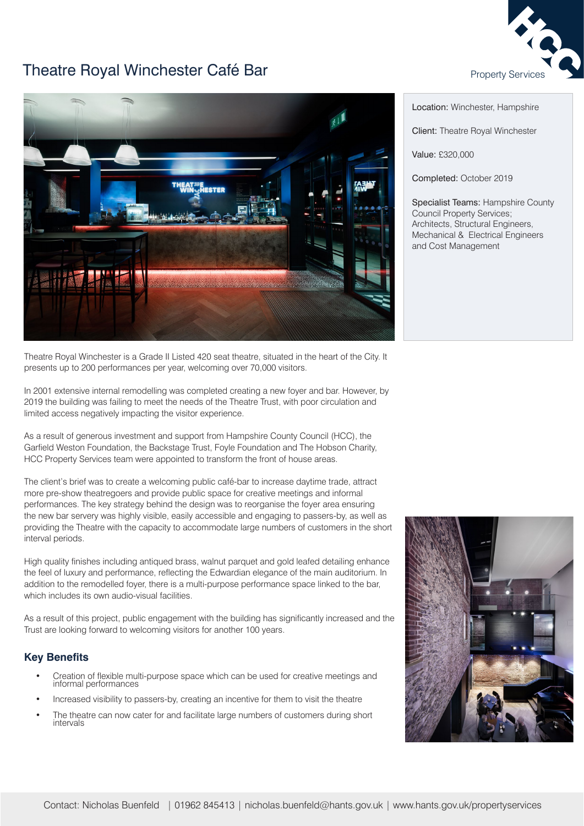

## Theatre Royal Winchester Café Bar **Property Service** Property Service



Theatre Royal Winchester is a Grade II Listed 420 seat theatre, situated in the heart of the City. It presents up to 200 performances per year, welcoming over 70,000 visitors.

In 2001 extensive internal remodelling was completed creating a new foyer and bar. However, by 2019 the building was failing to meet the needs of the Theatre Trust, with poor circulation and limited access negatively impacting the visitor experience.

As a result of generous investment and support from Hampshire County Council (HCC), the Garfield Weston Foundation, the Backstage Trust, Foyle Foundation and The Hobson Charity, HCC Property Services team were appointed to transform the front of house areas.

The client's brief was to create a welcoming public café-bar to increase daytime trade, attract more pre-show theatregoers and provide public space for creative meetings and informal performances. The key strategy behind the design was to reorganise the foyer area ensuring the new bar servery was highly visible, easily accessible and engaging to passers-by, as well as providing the Theatre with the capacity to accommodate large numbers of customers in the short interval periods.

High quality finishes including antiqued brass, walnut parquet and gold leafed detailing enhance the feel of luxury and performance, reflecting the Edwardian elegance of the main auditorium. In addition to the remodelled foyer, there is a multi-purpose performance space linked to the bar, which includes its own audio-visual facilities.

As a result of this project, public engagement with the building has significantly increased and the Trust are looking forward to welcoming visitors for another 100 years.

## **Key Benefits**

- Creation of flexible multi-purpose space which can be used for creative meetings and informal performances
- Increased visibility to passers-by, creating an incentive for them to visit the theatre
- The theatre can now cater for and facilitate large numbers of customers during short intervals

Location: Winchester, Hampshire

Client: Theatre Royal Winchester

Value: £320,000

Completed: October 2019

Specialist Teams: Hampshire County Council Property Services; Architects, Structural Engineers, Mechanical & Electrical Engineers and Cost Management